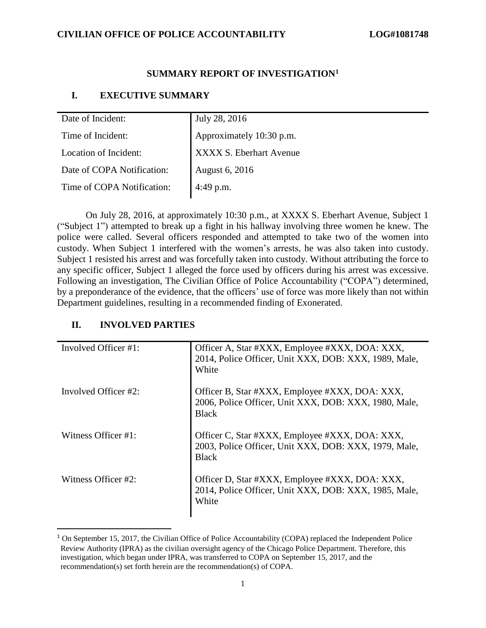#### **SUMMARY REPORT OF INVESTIGATION<sup>1</sup>**

#### **I. EXECUTIVE SUMMARY**

| Date of Incident:          | July 28, 2016            |
|----------------------------|--------------------------|
| Time of Incident:          | Approximately 10:30 p.m. |
| Location of Incident:      | XXXX S. Eberhart Avenue  |
| Date of COPA Notification: | August 6, 2016           |
| Time of COPA Notification: | 4:49 p.m.                |

On July 28, 2016, at approximately 10:30 p.m., at XXXX S. Eberhart Avenue, Subject 1 ("Subject 1") attempted to break up a fight in his hallway involving three women he knew. The police were called. Several officers responded and attempted to take two of the women into custody. When Subject 1 interfered with the women's arrests, he was also taken into custody. Subject 1 resisted his arrest and was forcefully taken into custody. Without attributing the force to any specific officer, Subject 1 alleged the force used by officers during his arrest was excessive. Following an investigation, The Civilian Office of Police Accountability ("COPA") determined, by a preponderance of the evidence, that the officers' use of force was more likely than not within Department guidelines, resulting in a recommended finding of Exonerated.

#### **II. INVOLVED PARTIES**

 $\overline{\phantom{a}}$ 

| Involved Officer #1:     | Officer A, Star #XXX, Employee #XXX, DOA: XXX,<br>2014, Police Officer, Unit XXX, DOB: XXX, 1989, Male,<br>White        |
|--------------------------|-------------------------------------------------------------------------------------------------------------------------|
| Involved Officer $\#2$ : | Officer B, Star #XXX, Employee #XXX, DOA: XXX,<br>2006, Police Officer, Unit XXX, DOB: XXX, 1980, Male,<br><b>Black</b> |
| Witness Officer #1:      | Officer C, Star #XXX, Employee #XXX, DOA: XXX,<br>2003, Police Officer, Unit XXX, DOB: XXX, 1979, Male,<br><b>Black</b> |
| Witness Officer #2:      | Officer D, Star #XXX, Employee #XXX, DOA: XXX,<br>2014, Police Officer, Unit XXX, DOB: XXX, 1985, Male,<br>White        |

<sup>&</sup>lt;sup>1</sup> On September 15, 2017, the Civilian Office of Police Accountability (COPA) replaced the Independent Police Review Authority (IPRA) as the civilian oversight agency of the Chicago Police Department. Therefore, this investigation, which began under IPRA, was transferred to COPA on September 15, 2017, and the recommendation(s) set forth herein are the recommendation(s) of COPA.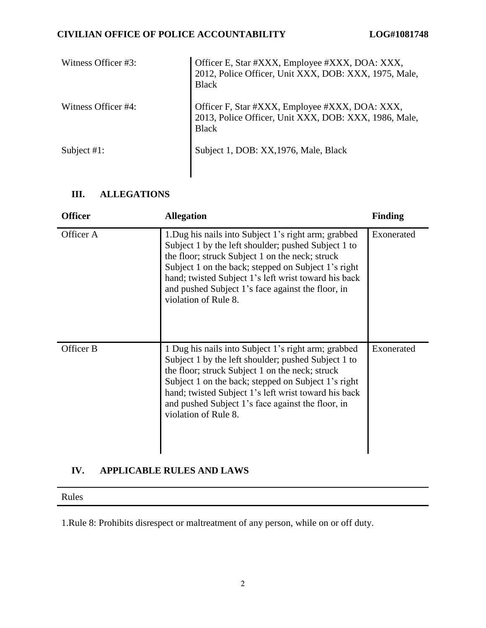## **CIVILIAN OFFICE OF POLICE ACCOUNTABILITY LOG#1081748**

| Witness Officer #3: | Officer E, Star #XXX, Employee #XXX, DOA: XXX,<br>2012, Police Officer, Unit XXX, DOB: XXX, 1975, Male,<br><b>Black</b> |
|---------------------|-------------------------------------------------------------------------------------------------------------------------|
| Witness Officer #4: | Officer F, Star #XXX, Employee #XXX, DOA: XXX,<br>2013, Police Officer, Unit XXX, DOB: XXX, 1986, Male,<br><b>Black</b> |
| Subject $#1$ :      | Subject 1, DOB: XX, 1976, Male, Black                                                                                   |

# **III. ALLEGATIONS**

| <b>Officer</b> | <b>Allegation</b>                                                                                                                                                                                                                                                                                                                                          | <b>Finding</b> |
|----------------|------------------------------------------------------------------------------------------------------------------------------------------------------------------------------------------------------------------------------------------------------------------------------------------------------------------------------------------------------------|----------------|
| Officer A      | 1. Dug his nails into Subject 1's right arm; grabbed<br>Subject 1 by the left shoulder; pushed Subject 1 to<br>the floor; struck Subject 1 on the neck; struck<br>Subject 1 on the back; stepped on Subject 1's right<br>hand; twisted Subject 1's left wrist toward his back<br>and pushed Subject 1's face against the floor, in<br>violation of Rule 8. | Exonerated     |
| Officer B      | 1 Dug his nails into Subject 1's right arm; grabbed<br>Subject 1 by the left shoulder; pushed Subject 1 to<br>the floor; struck Subject 1 on the neck; struck<br>Subject 1 on the back; stepped on Subject 1's right<br>hand; twisted Subject 1's left wrist toward his back<br>and pushed Subject 1's face against the floor, in<br>violation of Rule 8.  | Exonerated     |

## **IV. APPLICABLE RULES AND LAWS**

Rules

1.Rule 8: Prohibits disrespect or maltreatment of any person, while on or off duty.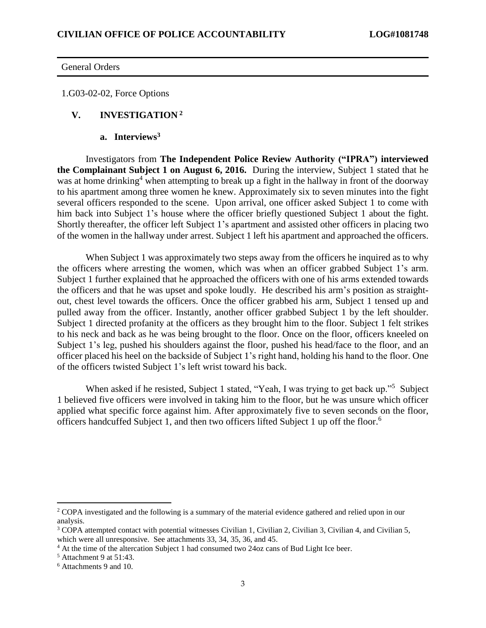General Orders

1.G03-02-02, Force Options

#### **V. INVESTIGATION <sup>2</sup>**

**a. Interviews<sup>3</sup>**

Investigators from **The Independent Police Review Authority ("IPRA") interviewed the Complainant Subject 1 on August 6, 2016.** During the interview, Subject 1 stated that he was at home drinking<sup>4</sup> when attempting to break up a fight in the hallway in front of the doorway to his apartment among three women he knew. Approximately six to seven minutes into the fight several officers responded to the scene. Upon arrival, one officer asked Subject 1 to come with him back into Subject 1's house where the officer briefly questioned Subject 1 about the fight. Shortly thereafter, the officer left Subject 1's apartment and assisted other officers in placing two of the women in the hallway under arrest. Subject 1 left his apartment and approached the officers.

When Subject 1 was approximately two steps away from the officers he inquired as to why the officers where arresting the women, which was when an officer grabbed Subject 1's arm. Subject 1 further explained that he approached the officers with one of his arms extended towards the officers and that he was upset and spoke loudly. He described his arm's position as straightout, chest level towards the officers. Once the officer grabbed his arm, Subject 1 tensed up and pulled away from the officer. Instantly, another officer grabbed Subject 1 by the left shoulder. Subject 1 directed profanity at the officers as they brought him to the floor. Subject 1 felt strikes to his neck and back as he was being brought to the floor. Once on the floor, officers kneeled on Subject 1's leg, pushed his shoulders against the floor, pushed his head/face to the floor, and an officer placed his heel on the backside of Subject 1's right hand, holding his hand to the floor. One of the officers twisted Subject 1's left wrist toward his back.

When asked if he resisted, Subject 1 stated, "Yeah, I was trying to get back up."<sup>5</sup> Subject 1 believed five officers were involved in taking him to the floor, but he was unsure which officer applied what specific force against him. After approximately five to seven seconds on the floor, officers handcuffed Subject 1, and then two officers lifted Subject 1 up off the floor. 6

 $\overline{\phantom{a}}$ 

<sup>&</sup>lt;sup>2</sup> COPA investigated and the following is a summary of the material evidence gathered and relied upon in our analysis.

<sup>&</sup>lt;sup>3</sup> COPA attempted contact with potential witnesses Civilian 1, Civilian 2, Civilian 3, Civilian 4, and Civilian 5, which were all unresponsive. See attachments 33, 34, 35, 36, and 45.

<sup>4</sup> At the time of the altercation Subject 1 had consumed two 24oz cans of Bud Light Ice beer.

 $<sup>5</sup>$  Attachment 9 at 51:43.</sup>

<sup>6</sup> Attachments 9 and 10.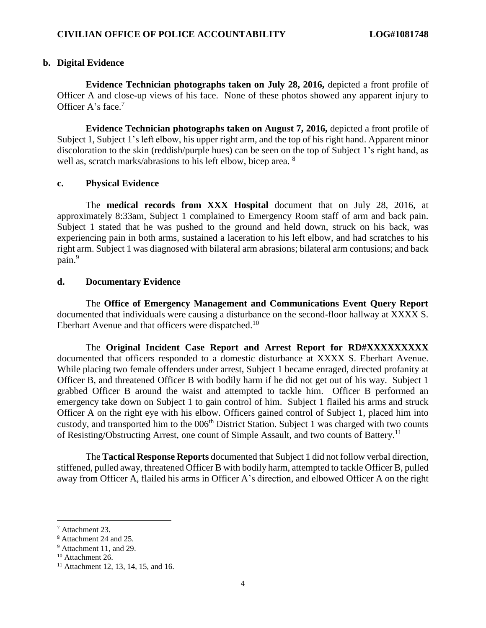#### **b. Digital Evidence**

**Evidence Technician photographs taken on July 28, 2016,** depicted a front profile of Officer A and close-up views of his face. None of these photos showed any apparent injury to Officer A's face.<sup>7</sup>

**Evidence Technician photographs taken on August 7, 2016,** depicted a front profile of Subject 1, Subject 1's left elbow, his upper right arm, and the top of his right hand. Apparent minor discoloration to the skin (reddish/purple hues) can be seen on the top of Subject 1's right hand, as well as, scratch marks/abrasions to his left elbow, bicep area. <sup>8</sup>

#### **c. Physical Evidence**

The **medical records from XXX Hospital** document that on July 28, 2016, at approximately 8:33am, Subject 1 complained to Emergency Room staff of arm and back pain. Subject 1 stated that he was pushed to the ground and held down, struck on his back, was experiencing pain in both arms, sustained a laceration to his left elbow, and had scratches to his right arm. Subject 1 was diagnosed with bilateral arm abrasions; bilateral arm contusions; and back pain. 9

#### **d. Documentary Evidence**

The **Office of Emergency Management and Communications Event Query Report**  documented that individuals were causing a disturbance on the second-floor hallway at XXXX S. Eberhart Avenue and that officers were dispatched.<sup>10</sup>

The **Original Incident Case Report and Arrest Report for RD#XXXXXXXXX** documented that officers responded to a domestic disturbance at XXXX S. Eberhart Avenue. While placing two female offenders under arrest, Subject 1 became enraged, directed profanity at Officer B, and threatened Officer B with bodily harm if he did not get out of his way. Subject 1 grabbed Officer B around the waist and attempted to tackle him. Officer B performed an emergency take down on Subject 1 to gain control of him. Subject 1 flailed his arms and struck Officer A on the right eye with his elbow. Officers gained control of Subject 1, placed him into custody, and transported him to the 006<sup>th</sup> District Station. Subject 1 was charged with two counts of Resisting/Obstructing Arrest, one count of Simple Assault, and two counts of Battery.<sup>11</sup>

The **Tactical Response Reports** documented that Subject 1 did not follow verbal direction, stiffened, pulled away, threatened Officer B with bodily harm, attempted to tackle Officer B, pulled away from Officer A, flailed his arms in Officer A's direction, and elbowed Officer A on the right

l

<sup>7</sup> Attachment 23.

<sup>8</sup> Attachment 24 and 25.

<sup>9</sup> Attachment 11, and 29.

<sup>&</sup>lt;sup>10</sup> Attachment 26.

<sup>&</sup>lt;sup>11</sup> Attachment 12, 13, 14, 15, and 16.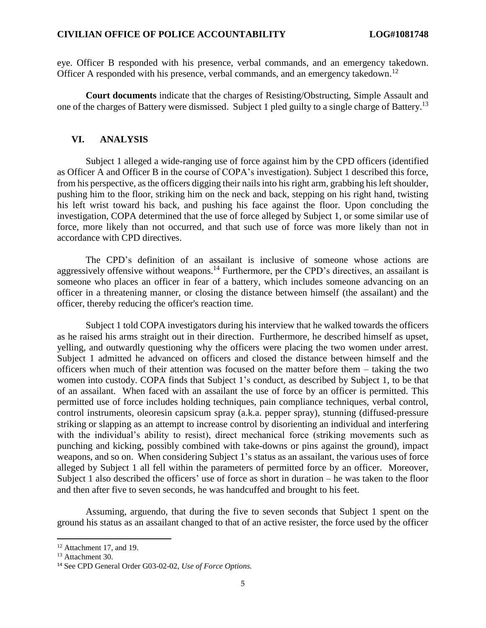eye. Officer B responded with his presence, verbal commands, and an emergency takedown. Officer A responded with his presence, verbal commands, and an emergency takedown.<sup>12</sup>

**Court documents** indicate that the charges of Resisting/Obstructing, Simple Assault and one of the charges of Battery were dismissed. Subject 1 pled guilty to a single charge of Battery.<sup>13</sup>

#### **VI. ANALYSIS**

Subject 1 alleged a wide-ranging use of force against him by the CPD officers (identified as Officer A and Officer B in the course of COPA's investigation). Subject 1 described this force, from his perspective, as the officers digging their nails into his right arm, grabbing his left shoulder, pushing him to the floor, striking him on the neck and back, stepping on his right hand, twisting his left wrist toward his back, and pushing his face against the floor. Upon concluding the investigation, COPA determined that the use of force alleged by Subject 1, or some similar use of force, more likely than not occurred, and that such use of force was more likely than not in accordance with CPD directives.

The CPD's definition of an assailant is inclusive of someone whose actions are aggressively offensive without weapons.<sup>14</sup> Furthermore, per the CPD's directives, an assailant is someone who places an officer in fear of a battery, which includes someone advancing on an officer in a threatening manner, or closing the distance between himself (the assailant) and the officer, thereby reducing the officer's reaction time.

Subject 1 told COPA investigators during his interview that he walked towards the officers as he raised his arms straight out in their direction. Furthermore, he described himself as upset, yelling, and outwardly questioning why the officers were placing the two women under arrest. Subject 1 admitted he advanced on officers and closed the distance between himself and the officers when much of their attention was focused on the matter before them – taking the two women into custody. COPA finds that Subject 1's conduct, as described by Subject 1, to be that of an assailant. When faced with an assailant the use of force by an officer is permitted. This permitted use of force includes holding techniques, pain compliance techniques, verbal control, control instruments, oleoresin capsicum spray (a.k.a. pepper spray), stunning (diffused-pressure striking or slapping as an attempt to increase control by disorienting an individual and interfering with the individual's ability to resist), direct mechanical force (striking movements such as punching and kicking, possibly combined with take-downs or pins against the ground), impact weapons, and so on. When considering Subject 1's status as an assailant, the various uses of force alleged by Subject 1 all fell within the parameters of permitted force by an officer. Moreover, Subject 1 also described the officers' use of force as short in duration – he was taken to the floor and then after five to seven seconds, he was handcuffed and brought to his feet.

Assuming, arguendo, that during the five to seven seconds that Subject 1 spent on the ground his status as an assailant changed to that of an active resister, the force used by the officer

 $\overline{\phantom{a}}$ 

<sup>&</sup>lt;sup>12</sup> Attachment 17, and 19.

<sup>&</sup>lt;sup>13</sup> Attachment 30.

<sup>14</sup> See CPD General Order G03-02-02, *Use of Force Options.*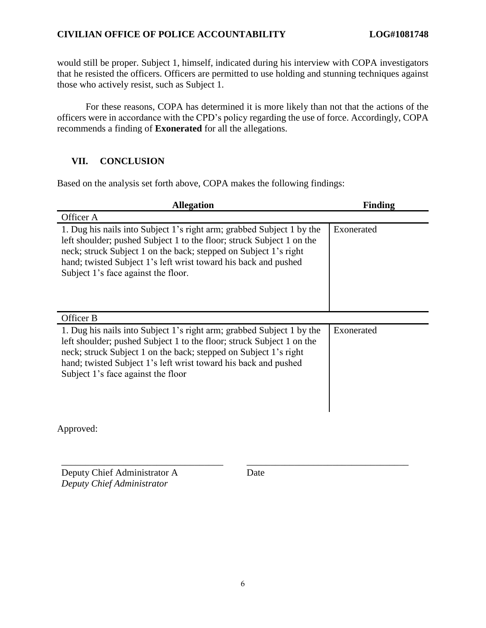### **CIVILIAN OFFICE OF POLICE ACCOUNTABILITY LOG#1081748**

would still be proper. Subject 1, himself, indicated during his interview with COPA investigators that he resisted the officers. Officers are permitted to use holding and stunning techniques against those who actively resist, such as Subject 1.

For these reasons, COPA has determined it is more likely than not that the actions of the officers were in accordance with the CPD's policy regarding the use of force. Accordingly, COPA recommends a finding of **Exonerated** for all the allegations.

### **VII. CONCLUSION**

Based on the analysis set forth above, COPA makes the following findings:

| <b>Allegation</b>                                                                                                                                                                                                                                                                                                            | Finding    |
|------------------------------------------------------------------------------------------------------------------------------------------------------------------------------------------------------------------------------------------------------------------------------------------------------------------------------|------------|
| Officer A                                                                                                                                                                                                                                                                                                                    |            |
| 1. Dug his nails into Subject 1's right arm; grabbed Subject 1 by the<br>left shoulder; pushed Subject 1 to the floor; struck Subject 1 on the<br>neck; struck Subject 1 on the back; stepped on Subject 1's right<br>hand; twisted Subject 1's left wrist toward his back and pushed<br>Subject 1's face against the floor. | Exonerated |
| Officer B                                                                                                                                                                                                                                                                                                                    |            |
| 1. Dug his nails into Subject 1's right arm; grabbed Subject 1 by the<br>left shoulder; pushed Subject 1 to the floor; struck Subject 1 on the<br>neck; struck Subject 1 on the back; stepped on Subject 1's right<br>hand; twisted Subject 1's left wrist toward his back and pushed<br>Subject 1's face against the floor  | Exonerated |

Approved:

Deputy Chief Administrator A *Deputy Chief Administrator*

Date

\_\_\_\_\_\_\_\_\_\_\_\_\_\_\_\_\_\_\_\_\_\_\_\_\_\_\_\_\_\_\_\_\_\_ \_\_\_\_\_\_\_\_\_\_\_\_\_\_\_\_\_\_\_\_\_\_\_\_\_\_\_\_\_\_\_\_\_\_